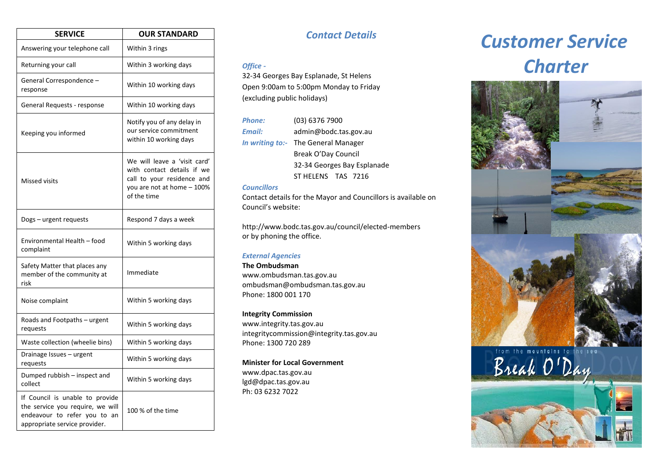| <b>SERVICE</b>                                                                                                                          | <b>OUR STANDARD</b>                                                                                                                   |
|-----------------------------------------------------------------------------------------------------------------------------------------|---------------------------------------------------------------------------------------------------------------------------------------|
| Answering your telephone call                                                                                                           | Within 3 rings                                                                                                                        |
| Returning your call                                                                                                                     | Within 3 working days                                                                                                                 |
| General Correspondence -<br>response                                                                                                    | Within 10 working days                                                                                                                |
| General Requests - response                                                                                                             | Within 10 working days                                                                                                                |
| Keeping you informed                                                                                                                    | Notify you of any delay in<br>our service commitment<br>within 10 working days                                                        |
| Missed visits                                                                                                                           | We will leave a 'visit card'<br>with contact details if we<br>call to your residence and<br>you are not at home - 100%<br>of the time |
| Dogs – urgent requests                                                                                                                  | Respond 7 days a week                                                                                                                 |
| Environmental Health - food<br>complaint                                                                                                | Within 5 working days                                                                                                                 |
| Safety Matter that places any<br>member of the community at<br>risk                                                                     | Immediate                                                                                                                             |
| Noise complaint                                                                                                                         | Within 5 working days                                                                                                                 |
| Roads and Footpaths - urgent<br>requests                                                                                                | Within 5 working days                                                                                                                 |
| Waste collection (wheelie bins)                                                                                                         | Within 5 working days                                                                                                                 |
| Drainage Issues - urgent<br>requests                                                                                                    | Within 5 working days                                                                                                                 |
| Dumped rubbish – inspect and<br>collect                                                                                                 | Within 5 working days                                                                                                                 |
| If Council is unable to provide<br>the service you require, we will<br>endeavour to refer you to<br>an<br>appropriate service provider. | 100 % of the time                                                                                                                     |

## *Contact Details*

### *Office -*

32-34 Georges Bay Esplanade, St Helens Open 9:00am to 5:00pm Monday to Friday (excluding public holidays)

| <b>Phone:</b> | (03) 6376 7900                      |  |
|---------------|-------------------------------------|--|
| Email:        | admin@bodc.tas.gov.au               |  |
|               | In writing to:- The General Manager |  |
|               | Break O'Day Council                 |  |
|               | 32-34 Georges Bay Esplanade         |  |
|               | ST HELENS TAS 7216                  |  |

### *Councillors*

Contact details for the Mayor and Councillors is available on Council's website:

http://www.bodc.tas.gov.au/council/elected-members or by phoning the office.

### *External Agencies*

**The Ombudsman** www.ombudsman.tas.gov.au ombudsman@ombudsman.tas.gov.au Phone: 1800 001 170

### **Integrity Commission**

www.integrity.tas.gov.au integritycommission@integrity.tas.gov.au Phone: 1300 720 289

#### **Minister for Local Government**

www.dpac.tas.gov.au lgd@dpac.tas.gov.au Ph: 03 6232 7022

# *Customer Service Charter*